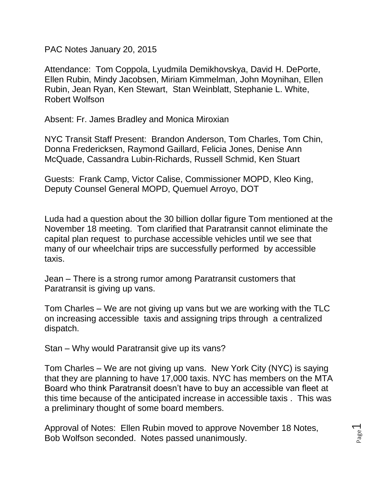PAC Notes January 20, 2015

Attendance: Tom Coppola, Lyudmila Demikhovskya, David H. DePorte, Ellen Rubin, Mindy Jacobsen, Miriam Kimmelman, John Moynihan, Ellen Rubin, Jean Ryan, Ken Stewart, Stan Weinblatt, Stephanie L. White, Robert Wolfson

Absent: Fr. James Bradley and Monica Miroxian

NYC Transit Staff Present: Brandon Anderson, Tom Charles, Tom Chin, Donna Fredericksen, Raymond Gaillard, Felicia Jones, Denise Ann McQuade, Cassandra Lubin-Richards, Russell Schmid, Ken Stuart

Guests: Frank Camp, Victor Calise, Commissioner MOPD, Kleo King, Deputy Counsel General MOPD, Quemuel Arroyo, DOT

Luda had a question about the 30 billion dollar figure Tom mentioned at the November 18 meeting. Tom clarified that Paratransit cannot eliminate the capital plan request to purchase accessible vehicles until we see that many of our wheelchair trips are successfully performed by accessible taxis.

Jean – There is a strong rumor among Paratransit customers that Paratransit is giving up vans.

Tom Charles – We are not giving up vans but we are working with the TLC on increasing accessible taxis and assigning trips through a centralized dispatch.

Stan – Why would Paratransit give up its vans?

Tom Charles – We are not giving up vans. New York City (NYC) is saying that they are planning to have 17,000 taxis. NYC has members on the MTA Board who think Paratransit doesn't have to buy an accessible van fleet at this time because of the anticipated increase in accessible taxis . This was a preliminary thought of some board members.

Approval of Notes: Ellen Rubin moved to approve November 18 Notes, Bob Wolfson seconded. Notes passed unanimously.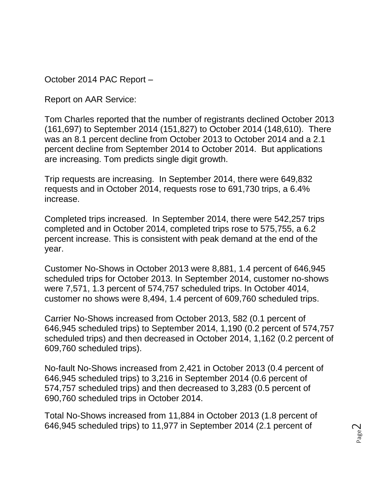October 2014 PAC Report –

Report on AAR Service:

Tom Charles reported that the number of registrants declined October 2013 (161,697) to September 2014 (151,827) to October 2014 (148,610). There was an 8.1 percent decline from October 2013 to October 2014 and a 2.1 percent decline from September 2014 to October 2014. But applications are increasing. Tom predicts single digit growth.

Trip requests are increasing. In September 2014, there were 649,832 requests and in October 2014, requests rose to 691,730 trips, a 6.4% increase.

Completed trips increased. In September 2014, there were 542,257 trips completed and in October 2014, completed trips rose to 575,755, a 6.2 percent increase. This is consistent with peak demand at the end of the year.

Customer No-Shows in October 2013 were 8,881, 1.4 percent of 646,945 scheduled trips for October 2013. In September 2014, customer no-shows were 7,571, 1.3 percent of 574,757 scheduled trips. In October 4014, customer no shows were 8,494, 1.4 percent of 609,760 scheduled trips.

Carrier No-Shows increased from October 2013, 582 (0.1 percent of 646,945 scheduled trips) to September 2014, 1,190 (0.2 percent of 574,757 scheduled trips) and then decreased in October 2014, 1,162 (0.2 percent of 609,760 scheduled trips).

No-fault No-Shows increased from 2,421 in October 2013 (0.4 percent of 646,945 scheduled trips) to 3,216 in September 2014 (0.6 percent of 574,757 scheduled trips) and then decreased to 3,283 (0.5 percent of 690,760 scheduled trips in October 2014.

Total No-Shows increased from 11,884 in October 2013 (1.8 percent of 646,945 scheduled trips) to 11,977 in September 2014 (2.1 percent of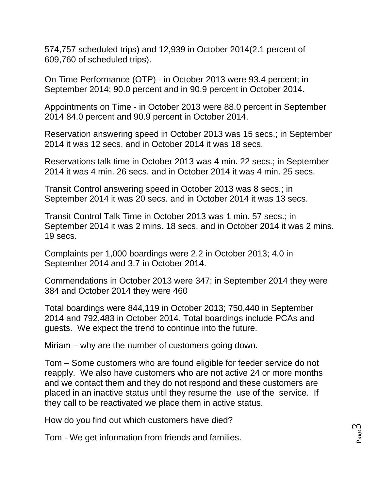574,757 scheduled trips) and 12,939 in October 2014(2.1 percent of 609,760 of scheduled trips).

On Time Performance (OTP) - in October 2013 were 93.4 percent; in September 2014; 90.0 percent and in 90.9 percent in October 2014.

Appointments on Time - in October 2013 were 88.0 percent in September 2014 84.0 percent and 90.9 percent in October 2014.

Reservation answering speed in October 2013 was 15 secs.; in September 2014 it was 12 secs. and in October 2014 it was 18 secs.

Reservations talk time in October 2013 was 4 min. 22 secs.; in September 2014 it was 4 min. 26 secs. and in October 2014 it was 4 min. 25 secs.

Transit Control answering speed in October 2013 was 8 secs.; in September 2014 it was 20 secs. and in October 2014 it was 13 secs.

Transit Control Talk Time in October 2013 was 1 min. 57 secs.; in September 2014 it was 2 mins. 18 secs. and in October 2014 it was 2 mins. 19 secs.

Complaints per 1,000 boardings were 2.2 in October 2013; 4.0 in September 2014 and 3.7 in October 2014.

Commendations in October 2013 were 347; in September 2014 they were 384 and October 2014 they were 460

Total boardings were 844,119 in October 2013; 750,440 in September 2014 and 792,483 in October 2014. Total boardings include PCAs and guests. We expect the trend to continue into the future.

Miriam – why are the number of customers going down.

Tom – Some customers who are found eligible for feeder service do not reapply. We also have customers who are not active 24 or more months and we contact them and they do not respond and these customers are placed in an inactive status until they resume the use of the service. If they call to be reactivated we place them in active status.

How do you find out which customers have died?

Tom - We get information from friends and families.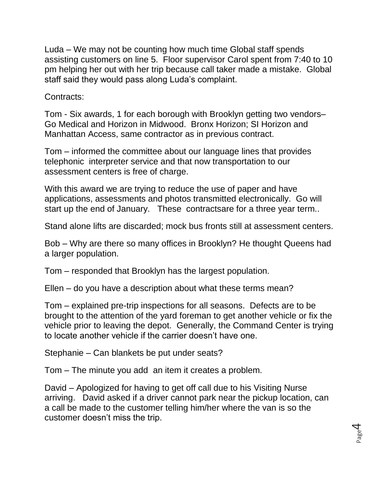Luda – We may not be counting how much time Global staff spends assisting customers on line 5. Floor supervisor Carol spent from 7:40 to 10 pm helping her out with her trip because call taker made a mistake. Global staff said they would pass along Luda's complaint.

Contracts:

Tom - Six awards, 1 for each borough with Brooklyn getting two vendors– Go Medical and Horizon in Midwood. Bronx Horizon; SI Horizon and Manhattan Access, same contractor as in previous contract.

Tom – informed the committee about our language lines that provides telephonic interpreter service and that now transportation to our assessment centers is free of charge.

With this award we are trying to reduce the use of paper and have applications, assessments and photos transmitted electronically. Go will start up the end of January. These contractsare for a three year term..

Stand alone lifts are discarded; mock bus fronts still at assessment centers.

Bob – Why are there so many offices in Brooklyn? He thought Queens had a larger population.

Tom – responded that Brooklyn has the largest population.

Ellen – do you have a description about what these terms mean?

Tom – explained pre-trip inspections for all seasons. Defects are to be brought to the attention of the yard foreman to get another vehicle or fix the vehicle prior to leaving the depot. Generally, the Command Center is trying to locate another vehicle if the carrier doesn't have one.

Stephanie – Can blankets be put under seats?

Tom – The minute you add an item it creates a problem.

David – Apologized for having to get off call due to his Visiting Nurse arriving. David asked if a driver cannot park near the pickup location, can a call be made to the customer telling him/her where the van is so the customer doesn't miss the trip.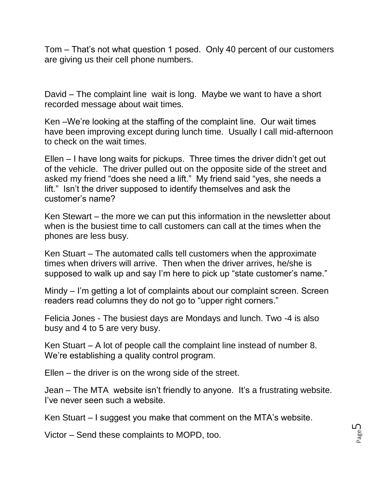Tom – That's not what question 1 posed. Only 40 percent of our customers are giving us their cell phone numbers.

David – The complaint line wait is long. Maybe we want to have a short recorded message about wait times.

Ken –We're looking at the staffing of the complaint line. Our wait times have been improving except during lunch time. Usually I call mid-afternoon to check on the wait times.

Ellen – I have long waits for pickups. Three times the driver didn't get out of the vehicle. The driver pulled out on the opposite side of the street and asked my friend "does she need a lift." My friend said "yes, she needs a lift." Isn't the driver supposed to identify themselves and ask the customer's name?

Ken Stewart – the more we can put this information in the newsletter about when is the busiest time to call customers can call at the times when the phones are less busy.

Ken Stuart – The automated calls tell customers when the approximate times when drivers will arrive. Then when the driver arrives, he/she is supposed to walk up and say I'm here to pick up "state customer's name."

Mindy – I'm getting a lot of complaints about our complaint screen. Screen readers read columns they do not go to "upper right corners."

Felicia Jones - The busiest days are Mondays and lunch. Two -4 is also busy and 4 to 5 are very busy.

Ken Stuart – A lot of people call the complaint line instead of number 8. We're establishing a quality control program.

Ellen – the driver is on the wrong side of the street.

Jean – The MTA website isn't friendly to anyone. It's a frustrating website. I've never seen such a website.

Ken Stuart – I suggest you make that comment on the MTA's website.

Victor – Send these complaints to MOPD, too.